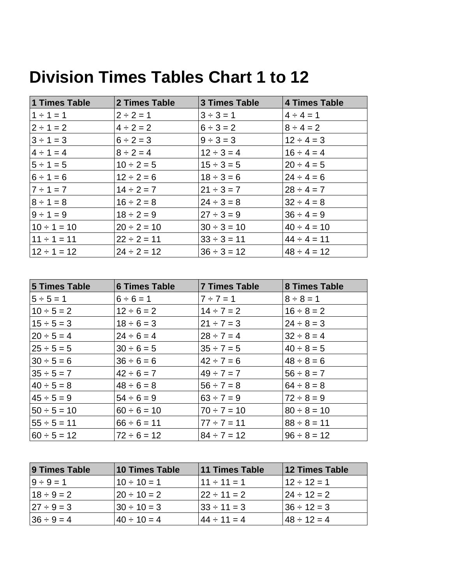| 1 Times Table    | 2 Times Table    | <b>3 Times Table</b> | 4 Times Table    |
|------------------|------------------|----------------------|------------------|
| $1 \div 1 = 1$   | $2 \div 2 = 1$   | $3 \div 3 = 1$       | $4 \div 4 = 1$   |
| $2 \div 1 = 2$   | $4 \div 2 = 2$   | $6 \div 3 = 2$       | $8 \div 4 = 2$   |
| $3 \div 1 = 3$   | $6 \div 2 = 3$   | $9 \div 3 = 3$       | $12 \div 4 = 3$  |
| $4 \div 1 = 4$   | $8 \div 2 = 4$   | $12 \div 3 = 4$      | $16 \div 4 = 4$  |
| $5 \div 1 = 5$   | $10 \div 2 = 5$  | $15 \div 3 = 5$      | $20 \div 4 = 5$  |
| $6 \div 1 = 6$   | $12 \div 2 = 6$  | $18 \div 3 = 6$      | $24 \div 4 = 6$  |
| $7 \div 1 = 7$   | $14 \div 2 = 7$  | $21 \div 3 = 7$      | $28 \div 4 = 7$  |
| $8 \div 1 = 8$   | $16 \div 2 = 8$  | $24 \div 3 = 8$      | $32 \div 4 = 8$  |
| $9 \div 1 = 9$   | $18 \div 2 = 9$  | $27 \div 3 = 9$      | $36 \div 4 = 9$  |
| $10 \div 1 = 10$ | $20 \div 2 = 10$ | $30 \div 3 = 10$     | $40 \div 4 = 10$ |
| $11 \div 1 = 11$ | $22 \div 2 = 11$ | $33 \div 3 = 11$     | $44 \div 4 = 11$ |
| $12 \div 1 = 12$ | $24 \div 2 = 12$ | $36 \div 3 = 12$     | $48 \div 4 = 12$ |

## **Division Times Tables Chart 1 to 12**

| <b>5 Times Table</b> | <b>6 Times Table</b> | <b>7 Times Table</b> | 8 Times Table    |
|----------------------|----------------------|----------------------|------------------|
| $5 \div 5 = 1$       | $6 \div 6 = 1$       | $7 \div 7 = 1$       | $8 \div 8 = 1$   |
| $10 \div 5 = 2$      | $12 \div 6 = 2$      | $14 \div 7 = 2$      | $16 \div 8 = 2$  |
| $15 \div 5 = 3$      | $18 \div 6 = 3$      | $21 \div 7 = 3$      | $24 \div 8 = 3$  |
| $20 \div 5 = 4$      | $24 \div 6 = 4$      | $28 \div 7 = 4$      | $32 \div 8 = 4$  |
| $25 \div 5 = 5$      | $30 \div 6 = 5$      | $35 \div 7 = 5$      | $40 \div 8 = 5$  |
| $30 \div 5 = 6$      | $36 \div 6 = 6$      | $42 \div 7 = 6$      | $48 \div 8 = 6$  |
| $35 \div 5 = 7$      | $42 \div 6 = 7$      | $49 \div 7 = 7$      | $56 \div 8 = 7$  |
| $40 \div 5 = 8$      | $48 \div 6 = 8$      | $56 \div 7 = 8$      | $64 \div 8 = 8$  |
| $45 \div 5 = 9$      | $54 \div 6 = 9$      | $63 \div 7 = 9$      | $72 \div 8 = 9$  |
| $50 \div 5 = 10$     | $60 \div 6 = 10$     | $70 \div 7 = 10$     | $80 \div 8 = 10$ |
| $55 \div 5 = 11$     | $66 \div 6 = 11$     | $77 \div 7 = 11$     | $88 \div 8 = 11$ |
| $60 \div 5 = 12$     | $72 \div 6 = 12$     | $84 \div 7 = 12$     | $96 \div 8 = 12$ |

| 9 Times Table    | 10 Times Table    | 11 Times Table    | 12 Times Table    |
|------------------|-------------------|-------------------|-------------------|
| $9 \div 9 = 1$   | $10 \div 10 = 1$  | $11 + 11 = 1$     | $12 \div 12 = 1$  |
| $18 \div 9 = 2$  | $ 20 \div 10 = 2$ | $ 22 \div 11 = 2$ | $ 24 \div 12 = 2$ |
| $ 27 \div 9 = 3$ | $ 30 \div 10 = 3$ | $ 33 \div 11 = 3$ | $136 \div 12 = 3$ |
| $36 \div 9 = 4$  | $40 \div 10 = 4$  | $44 \div 11 = 4$  | $148 \div 12 = 4$ |